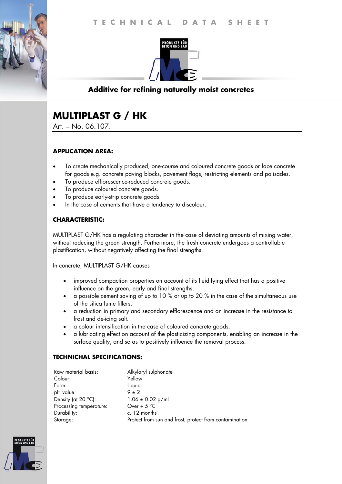

## **Additive for refining naturally moist concretes**

# **MULTIPLAST G / HK**

Art. – No. 06.107.

## **APPLICATION AREA:**

- To create mechanically produced, one-course and coloured concrete goods or face concrete for goods e.g. concrete paving blocks, pavement flags, restricting elements and palisades.
- To produce efflorescence-reduced concrete goods.
- To produce coloured concrete goods.
- To produce early-strip concrete goods.
- In the case of cements that have a tendency to discolour.

## **CHARACTERISTIC:**

MULTIPLAST G/HK has a regulating character in the case of deviating amounts of mixing water, without reducing the green strength. Furthermore, the fresh concrete undergoes a controllable plastification, without negatively affecting the final strengths.

In concrete, MULTIPLAST G/HK causes

- improved compaction properties on account of its fluidifying effect that has a positive influence on the green, early and final strengths.
- a possible cement saving of up to 10 % or up to 20 % in the case of the simultaneous use of the silica fume fillers.
- a reduction in primary and secondary efflorescence and an increase in the resistance to frost and de-icing salt.
- a colour intensification in the case of coloured concrete goods.
- a lubricating effect on account of the plasticizing components, enabling an increase in the surface quality, and so as to positively influence the removal process.

#### **TECHNICHAL SPECIFICATIONS:**

| Raw material basis:          | Alkylaryl sulphonate                                   |
|------------------------------|--------------------------------------------------------|
| Colour:                      | Yellow                                                 |
| Form:                        | Liquid                                                 |
| pH value:                    | $9 \pm 2$                                              |
| Density (at $20^{\circ}$ C): | $1.06 \pm 0.02$ g/ml                                   |
| Processing temperature:      | Over + $5^{\circ}$ C                                   |
| Durability:                  | c. 12 months                                           |
| Storage:                     | Protect from sun and frost; protect from contamination |